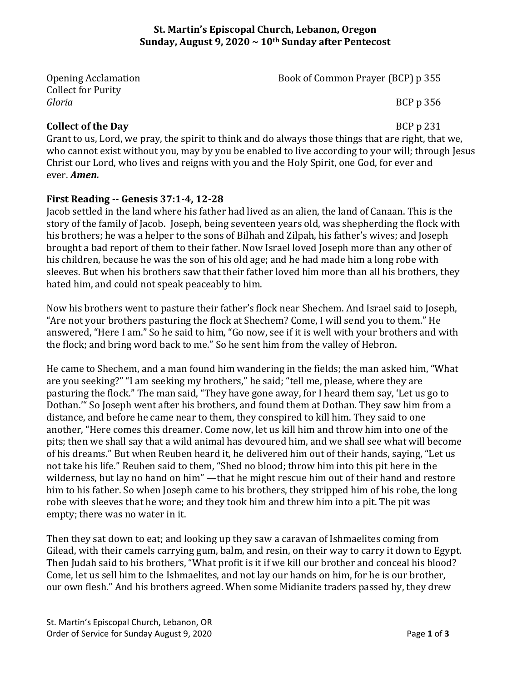#### **St. Martin's Episcopal Church, Lebanon, Oregon Sunday, August 9, 2020 ~ 10th Sunday after Pentecost**

Collect for Purity *Gloria* BCP p 356

Opening Acclamation Book of Common Prayer (BCP) p 355

## **Collect of the Day** BCP p 231

Grant to us, Lord, we pray, the spirit to think and do always those things that are right, that we, who cannot exist without you, may by you be enabled to live according to your will; through Jesus Christ our Lord, who lives and reigns with you and the Holy Spirit, one God, for ever and ever. *Amen.*

### **First Reading -- Genesis 37:1-4, 12-28**

Jacob settled in the land where his father had lived as an alien, the land of Canaan. This is the story of the family of Jacob. Joseph, being seventeen years old, was shepherding the flock with his brothers; he was a helper to the sons of Bilhah and Zilpah, his father's wives; and Joseph brought a bad report of them to their father. Now Israel loved Joseph more than any other of his children, because he was the son of his old age; and he had made him a long robe with sleeves. But when his brothers saw that their father loved him more than all his brothers, they hated him, and could not speak peaceably to him.

Now his brothers went to pasture their father's flock near Shechem. And Israel said to Joseph, "Are not your brothers pasturing the flock at Shechem? Come, I will send you to them." He answered, "Here I am." So he said to him, "Go now, see if it is well with your brothers and with the flock; and bring word back to me." So he sent him from the valley of Hebron.

He came to Shechem, and a man found him wandering in the fields; the man asked him, "What are you seeking?" "I am seeking my brothers," he said; "tell me, please, where they are pasturing the flock." The man said, "They have gone away, for I heard them say, 'Let us go to Dothan.'" So Joseph went after his brothers, and found them at Dothan. They saw him from a distance, and before he came near to them, they conspired to kill him. They said to one another, "Here comes this dreamer. Come now, let us kill him and throw him into one of the pits; then we shall say that a wild animal has devoured him, and we shall see what will become of his dreams." But when Reuben heard it, he delivered him out of their hands, saying, "Let us not take his life." Reuben said to them, "Shed no blood; throw him into this pit here in the wilderness, but lay no hand on him" —that he might rescue him out of their hand and restore him to his father. So when Joseph came to his brothers, they stripped him of his robe, the long robe with sleeves that he wore; and they took him and threw him into a pit. The pit was empty; there was no water in it.

Then they sat down to eat; and looking up they saw a caravan of Ishmaelites coming from Gilead, with their camels carrying gum, balm, and resin, on their way to carry it down to Egypt. Then Judah said to his brothers, "What profit is it if we kill our brother and conceal his blood? Come, let us sell him to the Ishmaelites, and not lay our hands on him, for he is our brother, our own flesh." And his brothers agreed. When some Midianite traders passed by, they drew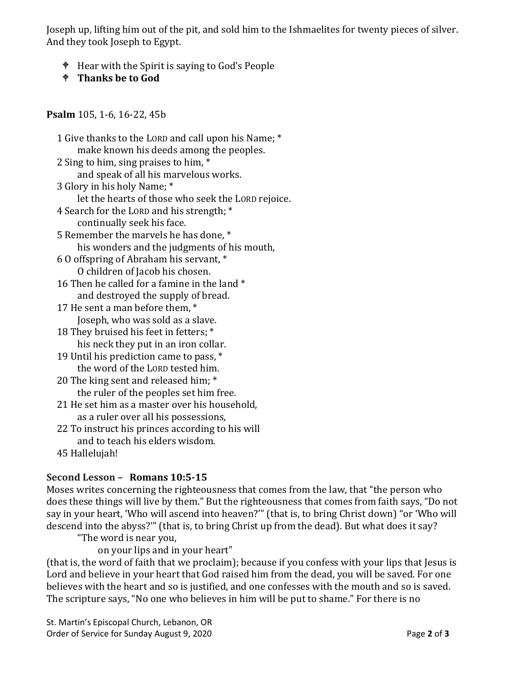Joseph up, lifting him out of the pit, and sold him to the Ishmaelites for twenty pieces of silver. And they took Joseph to Egypt.

- Hear with the Spirit is saying to God's People
- **Thanks be to God**

#### **Psalm** 105, 1-6, 16-22, 45b

| 1 Give thanks to the LORD and call upon his Name; * |
|-----------------------------------------------------|
| make known his deeds among the peoples.             |
| 2 Sing to him, sing praises to him, *               |
| and speak of all his marvelous works.               |
| 3 Glory in his holy Name; *                         |
| let the hearts of those who seek the LORD rejoice.  |
| 4 Search for the LORD and his strength; *           |
| continually seek his face.                          |
| 5 Remember the marvels he has done, *               |
| his wonders and the judgments of his mouth,         |
| 6 O offspring of Abraham his servant, *             |
| O children of Jacob his chosen.                     |
| 16 Then he called for a famine in the land *        |
| and destroyed the supply of bread.                  |
| 17 He sent a man before them, *                     |
| Joseph, who was sold as a slave.                    |
| 18 They bruised his feet in fetters; *              |
| his neck they put in an iron collar.                |
| 19 Until his prediction came to pass, *             |
| the word of the LORD tested him.                    |
| 20 The king sent and released him; *                |
| the ruler of the peoples set him free.              |
| 21 He set him as a master over his household,       |
| as a ruler over all his possessions,                |
| 22 To instruct his princes according to his will    |
| and to teach his elders wisdom.                     |
| 45 Hallelujah!                                      |
|                                                     |

## **Second Lesson – Romans 10:5-15**

Moses writes concerning the righteousness that comes from the law, that "the person who does these things will live by them." But the righteousness that comes from faith says, "Do not say in your heart, 'Who will ascend into heaven?'" (that is, to bring Christ down) "or 'Who will descend into the abyss?'" (that is, to bring Christ up from the dead). But what does it say?

"The word is near you,

on your lips and in your heart"

(that is, the word of faith that we proclaim); because if you confess with your lips that Jesus is Lord and believe in your heart that God raised him from the dead, you will be saved. For one believes with the heart and so is justified, and one confesses with the mouth and so is saved. The scripture says, "No one who believes in him will be put to shame." For there is no